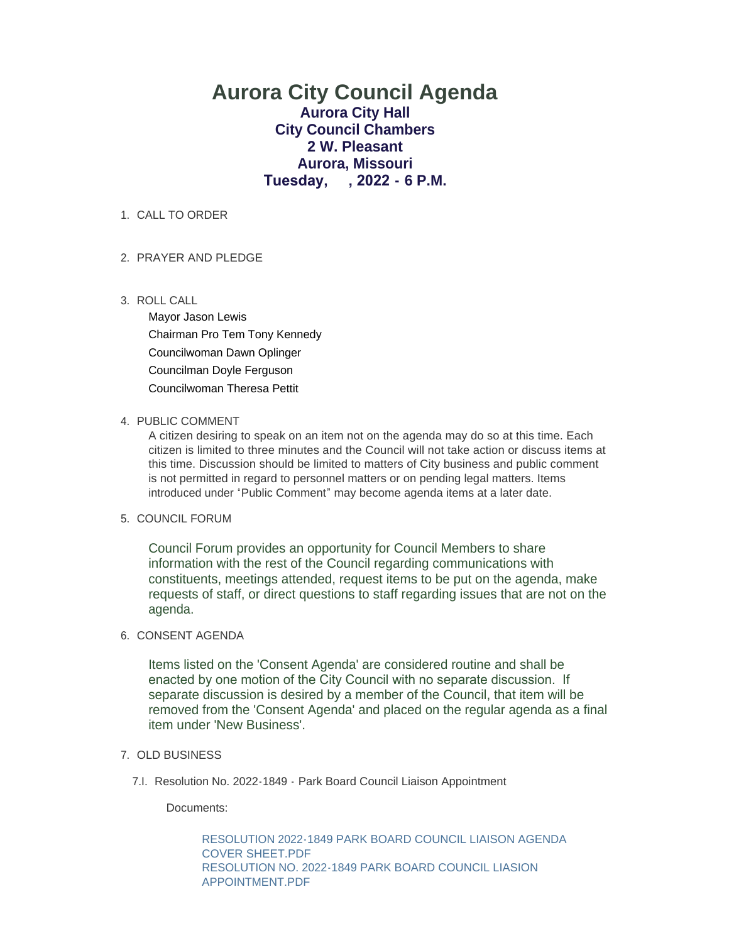# **Aurora City Council Agenda Aurora City Hall City Council Chambers 2 W. Pleasant Aurora, Missouri Tuesday, , 2022 - 6 P.M.**

1. CALL TO ORDER

# PRAYER AND PLEDGE 2.

ROLL CALL 3.

Mayor Jason Lewis Chairman Pro Tem Tony Kennedy Councilwoman Dawn Oplinger Councilman Doyle Ferguson Councilwoman Theresa Pettit

# 4. PUBLIC COMMENT

A citizen desiring to speak on an item not on the agenda may do so at this time. Each citizen is limited to three minutes and the Council will not take action or discuss items at this time. Discussion should be limited to matters of City business and public comment is not permitted in regard to personnel matters or on pending legal matters. Items introduced under "Public Comment" may become agenda items at a later date.

# 5. COUNCIL FORUM

Council Forum provides an opportunity for Council Members to share information with the rest of the Council regarding communications with constituents, meetings attended, request items to be put on the agenda, make requests of staff, or direct questions to staff regarding issues that are not on the agenda.

# 6. CONSENT AGENDA

Items listed on the 'Consent Agenda' are considered routine and shall be enacted by one motion of the City Council with no separate discussion. If separate discussion is desired by a member of the Council, that item will be removed from the 'Consent Agenda' and placed on the regular agenda as a final item under 'New Business'.

# 7. OLD BUSINESS

7.I. Resolution No. 2022-1849 - Park Board Council Liaison Appointment

Documents:

[RESOLUTION 2022-1849 PARK BOARD COUNCIL LIAISON AGENDA](https://www.aurora-cityhall.org/AgendaCenter/ViewFile/Item/1780?fileID=2117)  COVER SHEET.PDF [RESOLUTION NO. 2022-1849 PARK BOARD COUNCIL LIASION](https://www.aurora-cityhall.org/AgendaCenter/ViewFile/Item/1780?fileID=2118)  APPOINTMENT.PDF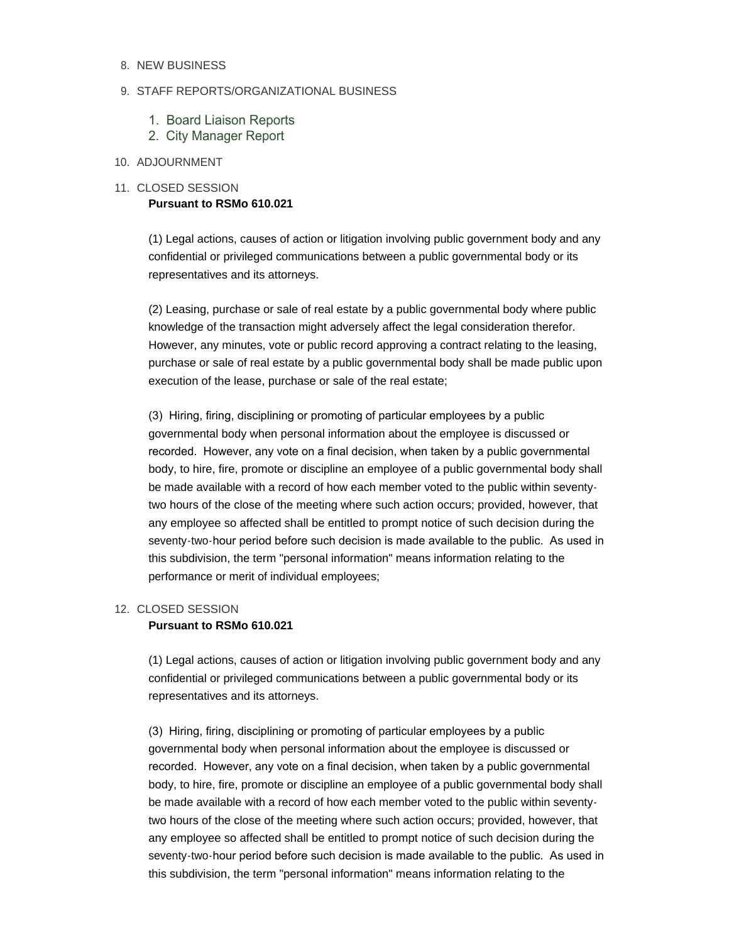#### 8. NEW BUSINESS

#### 9. STAFF REPORTS/ORGANIZATIONAL BUSINESS

- 1. Board Liaison Reports
- 2. City Manager Report

# 10. ADJOURNMENT

#### 11. CLOSED SESSION **Pursuant to RSMo 610.021**

(1) Legal actions, causes of action or litigation involving public government body and any confidential or privileged communications between a public governmental body or its representatives and its attorneys.

(2) Leasing, purchase or sale of real estate by a public governmental body where public knowledge of the transaction might adversely affect the legal consideration therefor. However, any minutes, vote or public record approving a contract relating to the leasing, purchase or sale of real estate by a public governmental body shall be made public upon execution of the lease, purchase or sale of the real estate;

(3) Hiring, firing, disciplining or promoting of particular employees by a public governmental body when personal information about the employee is discussed or recorded. However, any vote on a final decision, when taken by a public governmental body, to hire, fire, promote or discipline an employee of a public governmental body shall be made available with a record of how each member voted to the public within seventytwo hours of the close of the meeting where such action occurs; provided, however, that any employee so affected shall be entitled to prompt notice of such decision during the seventy-two-hour period before such decision is made available to the public. As used in this subdivision, the term "personal information" means information relating to the performance or merit of individual employees;

# 12. CLOSED SESSION

# **Pursuant to RSMo 610.021**

(1) Legal actions, causes of action or litigation involving public government body and any confidential or privileged communications between a public governmental body or its representatives and its attorneys.

(3) Hiring, firing, disciplining or promoting of particular employees by a public governmental body when personal information about the employee is discussed or recorded. However, any vote on a final decision, when taken by a public governmental body, to hire, fire, promote or discipline an employee of a public governmental body shall be made available with a record of how each member voted to the public within seventytwo hours of the close of the meeting where such action occurs; provided, however, that any employee so affected shall be entitled to prompt notice of such decision during the seventy-two-hour period before such decision is made available to the public. As used in this subdivision, the term "personal information" means information relating to the